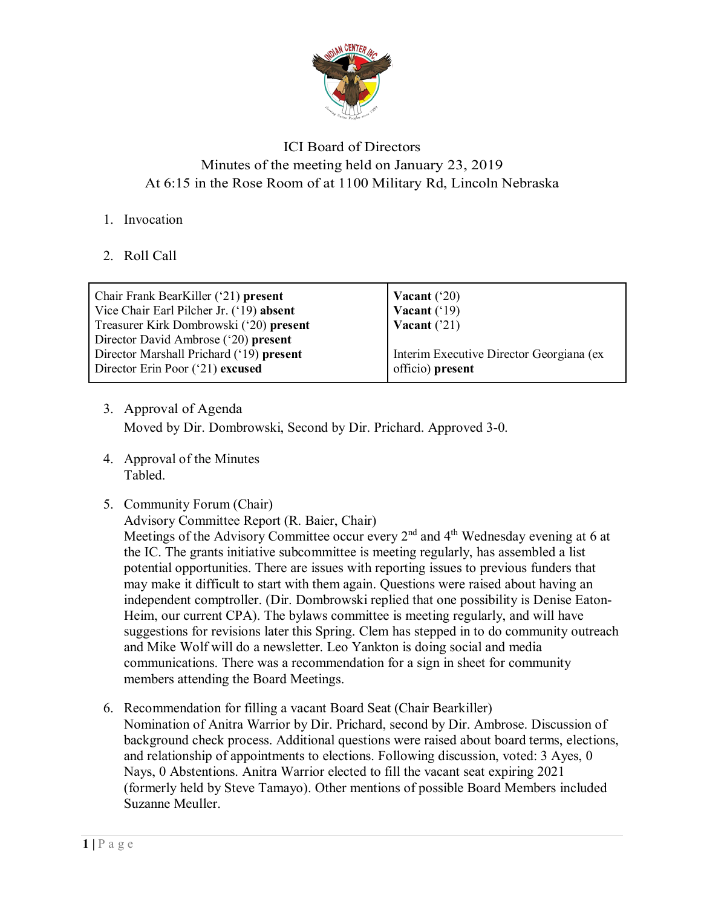

## ICI Board of Directors Minutes of the meeting held on January 23, 2019 At 6:15 in the Rose Room of at 1100 Military Rd, Lincoln Nebraska

- 1. Invocation
- 2. Roll Call

| Chair Frank BearKiller ('21) present<br>Vice Chair Earl Pilcher Jr. ('19) absent | Vacant $('20)$<br>Vacant $('19)$         |
|----------------------------------------------------------------------------------|------------------------------------------|
| Treasurer Kirk Dombrowski ('20) present                                          | Vacant $('21)$                           |
| Director David Ambrose ('20) present<br>Director Marshall Prichard ('19) present | Interim Executive Director Georgiana (ex |
| Director Erin Poor ('21) excused                                                 | officio) present                         |

- 3. Approval of Agenda Moved by Dir. Dombrowski, Second by Dir. Prichard. Approved 3-0.
- 4. Approval of the Minutes Tabled.
- 5. Community Forum (Chair)

Advisory Committee Report (R. Baier, Chair)

Meetings of the Advisory Committee occur every 2<sup>nd</sup> and 4<sup>th</sup> Wednesday evening at 6 at the IC. The grants initiative subcommittee is meeting regularly, has assembled a list potential opportunities. There are issues with reporting issues to previous funders that may make it difficult to start with them again. Questions were raised about having an independent comptroller. (Dir. Dombrowski replied that one possibility is Denise Eaton-Heim, our current CPA). The bylaws committee is meeting regularly, and will have suggestions for revisions later this Spring. Clem has stepped in to do community outreach and Mike Wolf will do a newsletter. Leo Yankton is doing social and media communications. There was a recommendation for a sign in sheet for community members attending the Board Meetings.

6. Recommendation for filling a vacant Board Seat (Chair Bearkiller) Nomination of Anitra Warrior by Dir. Prichard, second by Dir. Ambrose. Discussion of background check process. Additional questions were raised about board terms, elections, and relationship of appointments to elections. Following discussion, voted: 3 Ayes, 0 Nays, 0 Abstentions. Anitra Warrior elected to fill the vacant seat expiring 2021 (formerly held by Steve Tamayo). Other mentions of possible Board Members included Suzanne Meuller.